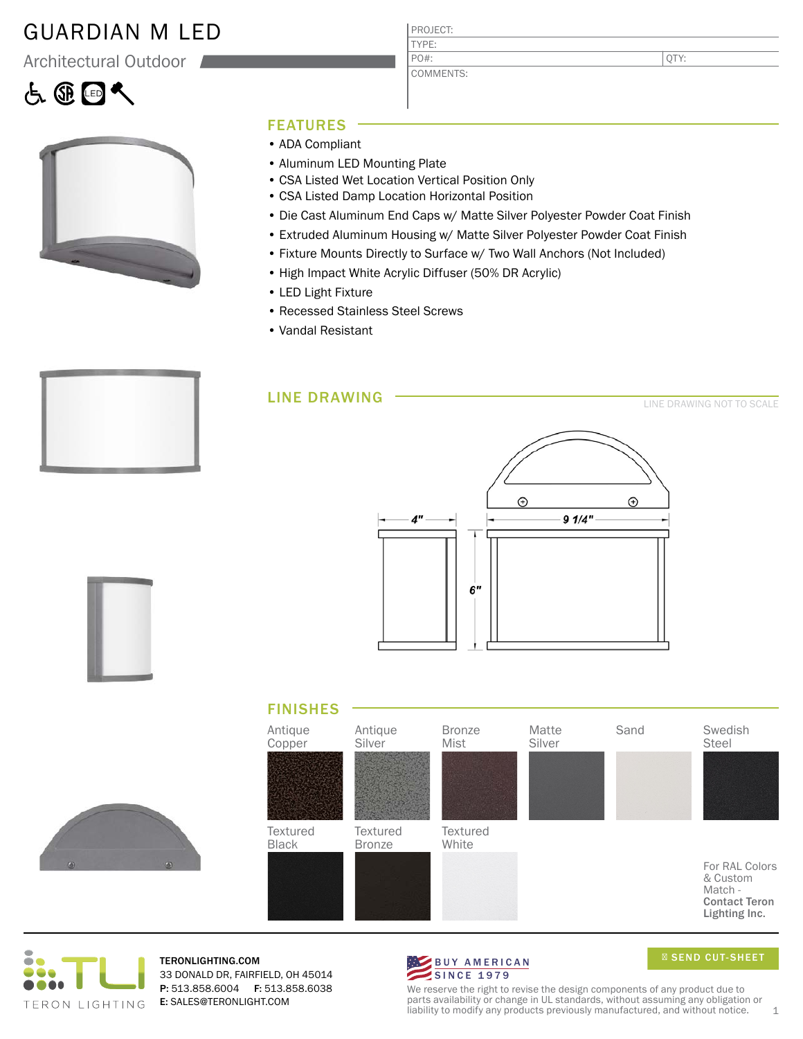### GUARDIAN M LED

Architectural Outdoor

# 占田区



### FEATURES

- ADA Compliant
- Aluminum LED Mounting Plate
- CSA Listed Wet Location Vertical Position Only

PROJECT: TYPE:

PO#:

COMMENTS:

- CSA Listed Damp Location Horizontal Position
- Die Cast Aluminum End Caps w/ Matte Silver Polyester Powder Coat Finish
- Extruded Aluminum Housing w/ Matte Silver Polyester Powder Coat Finish
- Fixture Mounts Directly to Surface w/ Two Wall Anchors (Not Included)
- High Impact White Acrylic Diffuser (50% DR Acrylic)
- LED Light Fixture
- Recessed Stainless Steel Screws
- Vandal Resistant

LINE DRAWING













TERONLIGHTING.COM 33 DONALD DR, FAIRFIELD, OH 45014 P: 513.858.6004 F: 513.858.6038 E: SALES@TERONLIGHT.COM



SEND CUT-SHEET

We reserve the right to revise the design components of any product due to parts availability or change in UL standards, without assuming any obligation or liability to modify any products previously manufactured, and without notice.  $1$ 

QTY:

LINE DRAWING NOT TO SCALE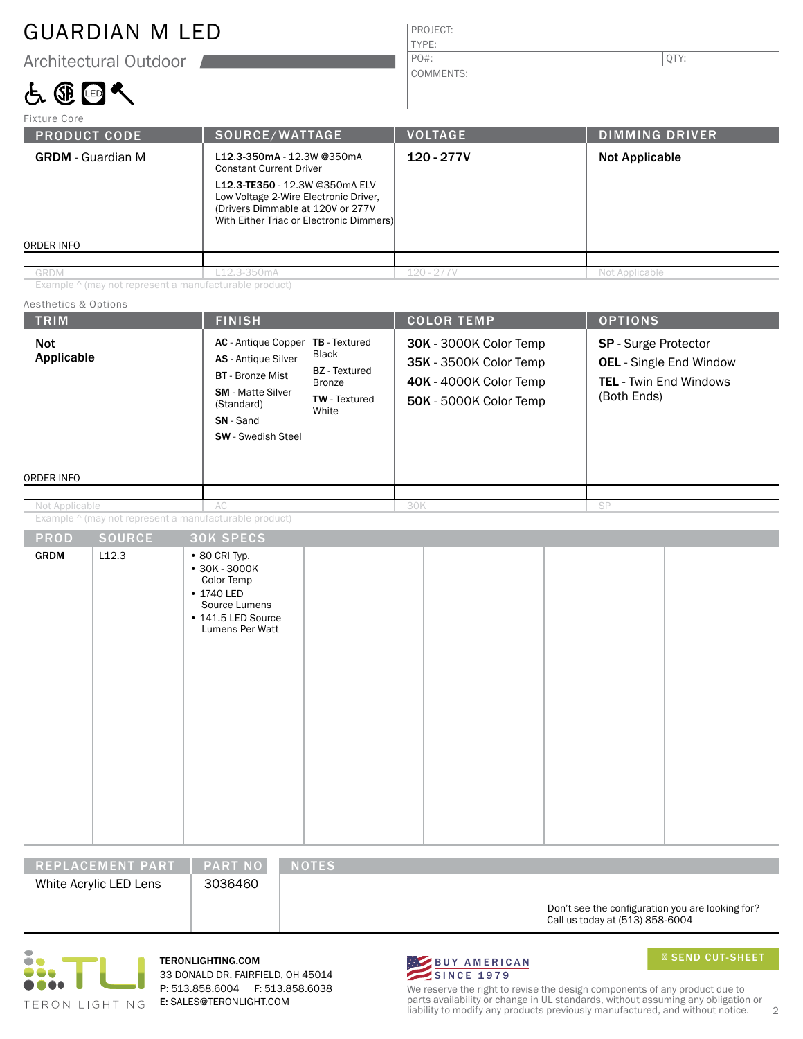### GUARDIAN M LED

Architectural Outdoor

## 占田国人

## PROJECT:

COMMENTS:

TYPE:

PO#:  $|\text{QTY:}|$ 

| SOURCE/WATTAGE                                                                                                                                                               | <b>VOLTAGE</b> | <b>DIMMING DRIVER</b>                    |  |
|------------------------------------------------------------------------------------------------------------------------------------------------------------------------------|----------------|------------------------------------------|--|
| L12.3-350mA - 12.3W @350mA<br><b>Constant Current Driver</b><br>L12.3-TE350 - 12.3W @350mA ELV<br>Low Voltage 2-Wire Electronic Driver,<br>(Drivers Dimmable at 120V or 277V | 120 - 277V     | <b>Not Applicable</b>                    |  |
|                                                                                                                                                                              |                |                                          |  |
| 12.3-350mA                                                                                                                                                                   | $120 - 277V$   | Not Applicable                           |  |
|                                                                                                                                                                              |                | With Either Triac or Electronic Dimmers) |  |

Example ^ (may not represent a manufacturable product)

### Aesthetics & Options

| <b>TRIM</b>                                            | <b>FINISH</b>                                                                                                                                                                                                                                              | <b>COLOR TEMP</b>                                                                                    | <b>OPTIONS</b>                                                                                  |  |
|--------------------------------------------------------|------------------------------------------------------------------------------------------------------------------------------------------------------------------------------------------------------------------------------------------------------------|------------------------------------------------------------------------------------------------------|-------------------------------------------------------------------------------------------------|--|
| Not<br>Applicable                                      | AC - Antique Copper TB - Textured<br><b>Black</b><br>AS - Antique Silver<br><b>BZ</b> - Textured<br><b>BT</b> - Bronze Mist<br><b>Bronze</b><br><b>SM</b> - Matte Silver<br>TW - Textured<br>(Standard)<br>White<br>SN - Sand<br><b>SW</b> - Swedish Steel | 30K - 3000K Color Temp<br>35K - 3500K Color Temp<br>40K - 4000K Color Temp<br>50K - 5000K Color Temp | SP - Surge Protector<br><b>OEL</b> - Single End Window<br>TEL - Twin End Windows<br>(Both Ends) |  |
| ORDER INFO                                             |                                                                                                                                                                                                                                                            |                                                                                                      |                                                                                                 |  |
| Not Applicable                                         | AC                                                                                                                                                                                                                                                         | 30K                                                                                                  | SP                                                                                              |  |
| Example ^ (may not represent a manufacturable product) |                                                                                                                                                                                                                                                            |                                                                                                      |                                                                                                 |  |
| <b>SOURCE</b><br><b>PROD</b>                           | <b>30K SPECS</b>                                                                                                                                                                                                                                           |                                                                                                      |                                                                                                 |  |
| <b>GRDM</b><br>L12.3                                   | $\cdot$ 80 CRI Typ.<br>$•30K - 3000K$<br>Color Temp<br>• 1740 LED<br>Source Lumens<br>• 141.5 LED Source<br>Lumens Per Watt                                                                                                                                |                                                                                                      |                                                                                                 |  |
| REPLACEMENT PART                                       | <b>PART NO</b><br><b>NOTES</b>                                                                                                                                                                                                                             |                                                                                                      |                                                                                                 |  |

White Acrylic LED Lens | 3036460

Don't see the configuration you are looking for? Call us today at (513) 858-6004



TERONLIGHTING.COM 33 DONALD DR, FAIRFIELD, OH 45014 P: 513.858.6004 F: 513.858.6038 E: SALES@TERONLIGHT.COM



SEND CUT-SHEET

We reserve the right to revise the design components of any product due to parts availability or change in UL standards, without assuming any obligation or liability to modify any products previously manufactured, and without notice. 2